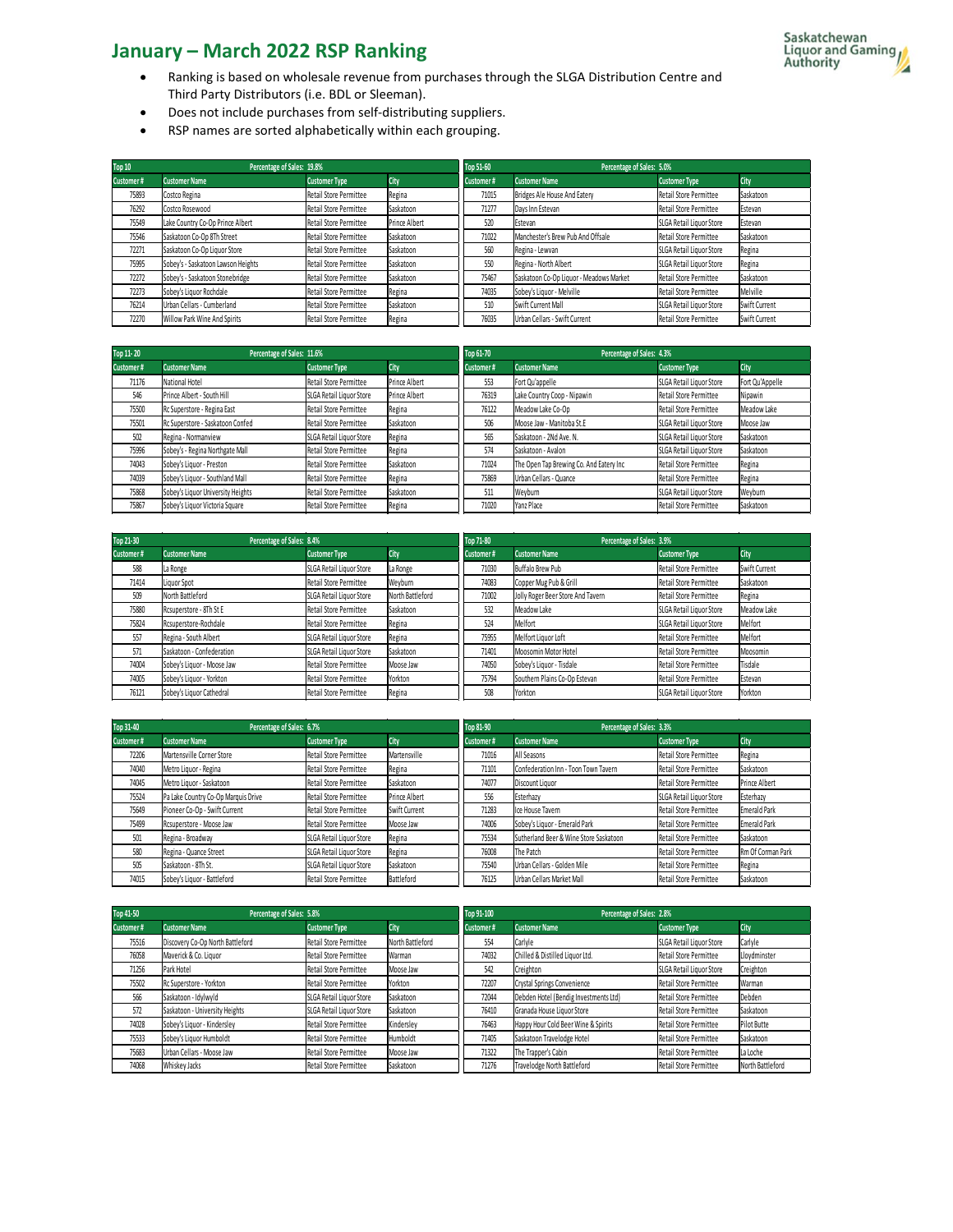- Ranking is based on wholesale revenue from purchases through the SLGA Distribution Centre and Third Party Distributors (i.e. BDL or Sleeman).
- Does not include purchases from self-distributing suppliers.
- RSP names are sorted alphabetically within each grouping.

| Top 10    | Percentage of Sales: 19.8%         |                        |               | Top 51-60<br>Percentage of Sales: 5.0% |                                         |                          |               |  |
|-----------|------------------------------------|------------------------|---------------|----------------------------------------|-----------------------------------------|--------------------------|---------------|--|
| Customer# | <b>Customer Name</b>               | <b>Customer Type</b>   | City          | Customer#                              | Customer Name                           | <b>Customer Type</b>     | City          |  |
| 75893     | Costco Regina                      | Retail Store Permittee | Regina        | 71015                                  | Bridges Ale House And Eatery            | Retail Store Permittee   | Saskatoon     |  |
| 76292     | Costco Rosewood                    | Retail Store Permittee | Saskatoon     | 71277                                  | Davs Inn Estevan                        | Retail Store Permittee   | Estevan       |  |
| 75549     | Lake Country Co-Op Prince Albert   | Retail Store Permittee | Prince Albert | 520                                    | Estevan                                 | SLGA Retail Liquor Store | Estevan       |  |
| 75546     | Saskatoon Co-Op 8Th Street         | Retail Store Permittee | Saskatoon     | 71022                                  | Manchester's Brew Pub And Offsale       | Retail Store Permittee   | Saskatoon     |  |
| 72271     | Saskatoon Co-Op Liquor Store       | Retail Store Permittee | Saskatoon     | 560                                    | Regina - Lewvan                         | SLGA Retail Liquor Store | Regina        |  |
| 75995     | Sobey's - Saskatoon Lawson Heights | Retail Store Permittee | Saskatoon     | 550                                    | Regina - North Albert                   | SLGA Retail Liquor Store | Regina        |  |
| 72272     | Sobey's - Saskatoon Stonebridge    | Retail Store Permittee | Saskatoon     | 75467                                  | Saskatoon Co-Op Liquor - Meadows Market | Retail Store Permittee   | Saskatoon     |  |
| 72273     | Sobey's Liquor Rochdale            | Retail Store Permittee | Regina        | 74035                                  | Sobey's Liquor - Melville               | Retail Store Permittee   | Melville      |  |
| 76214     | Urban Cellars - Cumberland         | Retail Store Permittee | Saskatoon     | 510                                    | Swift Current Mall                      | SLGA Retail Liquor Store | Swift Current |  |
| 72270     | Willow Park Wine And Spirits       | Retail Store Permittee | Regina        | 76035                                  | Urban Cellars - Swift Current           | Retail Store Permittee   | Swift Current |  |

| Top 11-20 | Percentage of Sales: 11.6%        |                          |               | Top 61-70<br>Percentage of Sales: 4.3% |                                         |                          |                 |
|-----------|-----------------------------------|--------------------------|---------------|----------------------------------------|-----------------------------------------|--------------------------|-----------------|
| Customer# | <b>Customer Name</b>              | <b>Customer Type</b>     | City          | Customer#                              | <b>Customer Name</b>                    | <b>Customer Type</b>     | City            |
| 71176     | National Hotel                    | Retail Store Permittee   | Prince Albert | 553                                    | Fort Qu'appelle                         | SLGA Retail Liquor Store | Fort Qu'Appelle |
| 546       | Prince Albert - South Hill        | SLGA Retail Liquor Store | Prince Albert | 76319                                  | Lake Country Coop - Nipawin             | Retail Store Permittee   | Nipawin         |
| 75500     | Rc Superstore - Regina East       | Retail Store Permittee   | Regina        | 76122                                  | Meadow Lake Co-Op                       | Retail Store Permittee   | Meadow Lake     |
| 75501     | Rc Superstore - Saskatoon Confed  | Retail Store Permittee   | Saskatoon     | 506                                    | Moose Jaw - Manitoba St.E               | SLGA Retail Liquor Store | Moose Jaw       |
| 502       | Regina - Normanview               | SLGA Retail Liquor Store | Regina        | 565                                    | Saskatoon - 2Nd Ave. N.                 | SLGA Retail Liquor Store | Saskatoon       |
| 75996     | Sobey's - Regina Northgate Mall   | Retail Store Permittee   | Regina        | 574                                    | Saskatoon - Avalon                      | SLGA Retail Liquor Store | Saskatoon       |
| 74043     | Sobey's Liquor - Preston          | Retail Store Permittee   | Saskatoon     | 71024                                  | The Open Tap Brewing Co. And Eatery Inc | Retail Store Permittee   | Regina          |
| 74039     | Sobey's Liquor - Southland Mall   | Retail Store Permittee   | Regina        | 75869                                  | Urban Cellars - Quance                  | Retail Store Permittee   | Regina          |
| 75868     | Sobey's Liquor University Heights | Retail Store Permittee   | Saskatoon     | 511                                    | Weyburn                                 | SLGA Retail Liquor Store | Weyburn         |
| 75867     | Sobey's Liquor Victoria Square    | Retail Store Permittee   | Regina        | 71020                                  | Yanz Place                              | Retail Store Permittee   | Saskatoon       |

| Top 21-30 | Percentage of Sales: 8.4%  |                          |                  | Percentage of Sales: 3.9%<br>Top 71-80 |                                   |                          |               |  |
|-----------|----------------------------|--------------------------|------------------|----------------------------------------|-----------------------------------|--------------------------|---------------|--|
| Customer# | <b>Customer Name</b>       | <b>Customer Type</b>     | City             | Customer#                              | <b>Customer Name</b>              | <b>Customer Type</b>     | City          |  |
| 588       | La Ronge                   | SLGA Retail Liquor Store | La Ronge         | 71030                                  | Buffalo Brew Pub                  | Retail Store Permittee   | Swift Current |  |
| 71414     | Liquor Spot                | Retail Store Permittee   | Weyburn          | 74083                                  | Copper Mug Pub & Grill            | Retail Store Permittee   | Saskatoon     |  |
| 509       | North Battleford           | SLGA Retail Liquor Store | North Battleford | 71002                                  | Jolly Roger Beer Store And Tavern | Retail Store Permittee   | Regina        |  |
| 75880     | Rcsuperstore - 8Th St E    | Retail Store Permittee   | Saskatoon        | 532                                    | Meadow Lake                       | SLGA Retail Liquor Store | Meadow Lake   |  |
| 75824     | Rcsuperstore-Rochdale      | Retail Store Permittee   | Regina           | 524                                    | Melfort                           | SLGA Retail Liquor Store | Melfort       |  |
| 557       | Regina - South Albert      | SLGA Retail Liquor Store | Regina           | 75955                                  | Melfort Liquor Loft               | Retail Store Permittee   | Melfort       |  |
| 571       | Saskatoon - Confederation  | SLGA Retail Liquor Store | Saskatoon        | 71401                                  | Moosomin Motor Hotel              | Retail Store Permittee   | Moosomin      |  |
| 74004     | Sobey's Liquor - Moose Jaw | Retail Store Permittee   | Moose Jaw        | 74050                                  | Sobey's Liquor - Tisdale          | Retail Store Permittee   | Tisdale       |  |
| 74005     | Sobey's Liquor - Yorkton   | Retail Store Permittee   | Yorkton          | 75794                                  | Southern Plains Co-Op Estevan     | Retail Store Permittee   | Estevan       |  |
| 76121     | Sobey's Liquor Cathedral   | Retail Store Permittee   | Regina           | 508                                    | Yorkton                           | SLGA Retail Liquor Store | Yorkton       |  |

| Top 31-40 | Percentage of Sales: 6.7%           |                          |               | Percentage of Sales: 3.3%<br>Top 81-90 |                                        |                          |                      |
|-----------|-------------------------------------|--------------------------|---------------|----------------------------------------|----------------------------------------|--------------------------|----------------------|
| Customer# | <b>Customer Name</b>                | <b>Customer Type</b>     | City          | Customer#                              | <b>Customer Name</b>                   | <b>Customer Type</b>     | City                 |
| 72206     | Martensville Corner Store           | Retail Store Permittee   | Martensville  | 71016                                  | All Seasons                            | Retail Store Permittee   | Regina               |
| 74040     | Metro Liquor - Regina               | Retail Store Permittee   | Regina        | 71101                                  | Confederation Inn - Toon Town Tavern   | Retail Store Permittee   | Saskatoon            |
| 74045     | Metro Liquor - Saskatoon            | Retail Store Permittee   | Saskatoon     | 74077                                  | Discount Liquor                        | Retail Store Permittee   | <b>Prince Albert</b> |
| 75524     | Pa Lake Country Co-Op Marquis Drive | Retail Store Permittee   | Prince Albert | 556                                    | Esterhazy                              | SLGA Retail Liquor Store | Esterhazy            |
| 75649     | Pioneer Co-Op - Swift Current       | Retail Store Permittee   | Swift Current | 71283                                  | Ice House Tavern                       | Retail Store Permittee   | <b>Emerald Park</b>  |
| 75499     | Rcsuperstore - Moose Jaw            | Retail Store Permittee   | Moose Jaw     | 74006                                  | Sobey's Liquor - Emerald Park          | Retail Store Permittee   | <b>Emerald Park</b>  |
| 501       | Regina - Broadway                   | SLGA Retail Liquor Store | Regina        | 75534                                  | Sutherland Beer & Wine Store Saskatoon | Retail Store Permittee   | Saskatoon            |
| 580       | Regina - Quance Street              | SLGA Retail Liquor Store | Regina        | 76008                                  | The Patch                              | Retail Store Permittee   | Rm Of Corman Park    |
| 505       | Saskatoon - 8Th St.                 | SLGA Retail Liquor Store | Saskatoon     | 75540                                  | Urban Cellars - Golden Mile            | Retail Store Permittee   | Regina               |
| 74015     | Sobey's Liquor - Battleford         | Retail Store Permittee   | Battleford    | 76125                                  | Urban Cellars Market Mall              | Retail Store Permittee   | Saskatoon            |

| Top 41-50 | Percentage of Sales: 5.8%        |                          |                  | Percentage of Sales: 2.8%<br>Top 91-100 |                                       |                          |                    |  |
|-----------|----------------------------------|--------------------------|------------------|-----------------------------------------|---------------------------------------|--------------------------|--------------------|--|
| Customer# | <b>Customer Name</b>             | <b>Customer Type</b>     | City             | Customer#                               | <b>Customer Name</b>                  | <b>Customer Type</b>     | City               |  |
| 75516     | Discovery Co-Op North Battleford | Retail Store Permittee   | North Battleford | 554                                     | Carlyle                               | SLGA Retail Liquor Store | Carlyle            |  |
| 76058     | Maverick & Co. Liquor            | Retail Store Permittee   | Warman           | 74032                                   | Chilled & Distilled Liquor Ltd.       | Retail Store Permittee   | Lloydminster       |  |
| 71256     | Park Hotel                       | Retail Store Permittee   | Moose Jaw        | 542                                     | Creighton                             | SLGA Retail Liquor Store | Creighton          |  |
| 75502     | Rc Superstore - Yorkton          | Retail Store Permittee   | Yorkton          | 72207                                   | Crystal Springs Convenience           | Retail Store Permittee   | Warman             |  |
| 566       | Saskatoon - Idylwyld             | SLGA Retail Liquor Store | Saskatoon        | 72044                                   | Debden Hotel (Bendig Investments Ltd) | Retail Store Permittee   | Debden             |  |
| 572       | Saskatoon - University Heights   | SLGA Retail Liquor Store | Saskatoon        | 76410                                   | Granada House Liquor Store            | Retail Store Permittee   | Saskatoon          |  |
| 74028     | Sobey's Liquor - Kindersley      | Retail Store Permittee   | Kindersley       | 76463                                   | Happy Hour Cold Beer Wine & Spirits   | Retail Store Permittee   | <b>Pilot Butte</b> |  |
| 75533     | Sobey's Liquor Humboldt          | Retail Store Permittee   | Humboldt         | 71405                                   | Saskatoon Travelodge Hotel            | Retail Store Permittee   | Saskatoon          |  |
| 75683     | Urban Cellars - Moose Jaw        | Retail Store Permittee   | Moose Jaw        | 71322                                   | The Trapper's Cabin                   | Retail Store Permittee   | La Loche           |  |
| 74068     | Whiskey Jacks                    | Retail Store Permittee   | Saskatoon        | 71276                                   | Travelodge North Battleford           | Retail Store Permittee   | North Battleford   |  |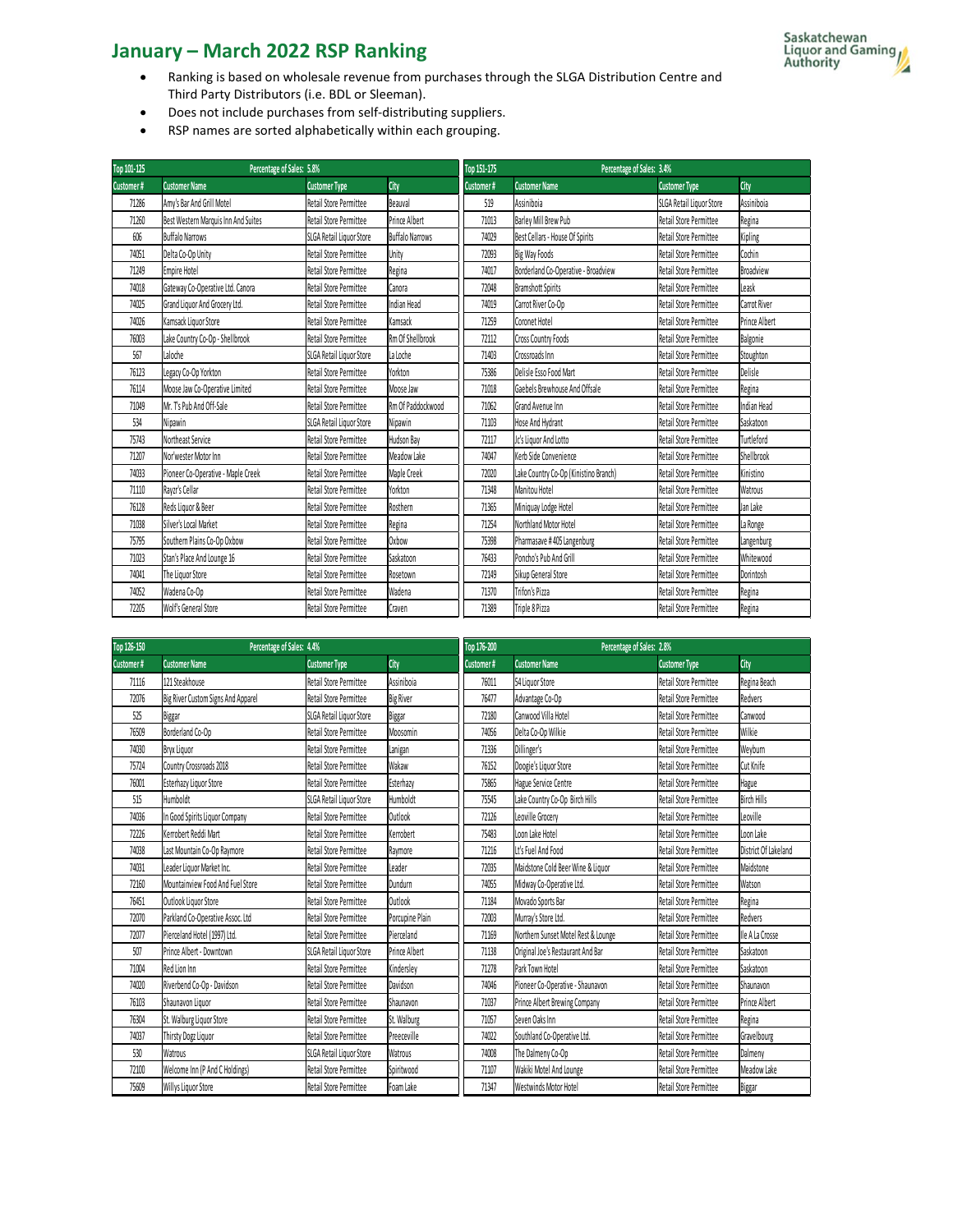- Ranking is based on wholesale revenue from purchases through the SLGA Distribution Centre and Third Party Distributors (i.e. BDL or Sleeman).
- Does not include purchases from self-distributing suppliers.
- RSP names are sorted alphabetically within each grouping.

| Top 101-125 | Percentage of Sales: 5.8%           |                          |                        | Top 151-175 | Percentage of Sales: 3.4%             |                          |                      |
|-------------|-------------------------------------|--------------------------|------------------------|-------------|---------------------------------------|--------------------------|----------------------|
| Customer#   | <b>Customer Name</b>                | <b>Customer Type</b>     | City                   | Customer#   | <b>Customer Name</b>                  | <b>Customer Type</b>     | City                 |
| 71286       | Amv's Bar And Grill Motel           | Retail Store Permittee   | Beauval                | 519         | Assiniboia                            | SLGA Retail Liquor Store | Assiniboia           |
| 71260       | Best Western Marquis Inn And Suites | Retail Store Permittee   | Prince Albert          | 71013       | Barlev Mill Brew Pub                  | Retail Store Permittee   | Regina               |
| 606         | <b>Buffalo Narrows</b>              | SLGA Retail Liquor Store | <b>Buffalo Narrows</b> | 74029       | Best Cellars - House Of Spirits       | Retail Store Permittee   | Kipling              |
| 74051       | Delta Co-Op Unity                   | Retail Store Permittee   | Unity                  | 72093       | Big Way Foods                         | Retail Store Permittee   | Cochin               |
| 71249       | <b>Empire Hotel</b>                 | Retail Store Permittee   | Regina                 | 74017       | Borderland Co-Operative - Broadview   | Retail Store Permittee   | <b>Broadview</b>     |
| 74018       | Gateway Co-Operative Ltd. Canora    | Retail Store Permittee   | Canora                 | 72048       | <b>Bramshott Spirits</b>              | Retail Store Permittee   | Leask                |
| 74025       | Grand Liquor And Grocery Ltd.       | Retail Store Permittee   | Indian Head            | 74019       | Carrot River Co-Op                    | Retail Store Permittee   | Carrot River         |
| 74026       | Kamsack Liguor Store                | Retail Store Permittee   | Kamsack                | 71259       | Coronet Hotel                         | Retail Store Permittee   | <b>Prince Albert</b> |
| 76003       | Lake Country Co-Op - Shellbrook     | Retail Store Permittee   | Rm Of Shellbrook       | 72112       | Cross Country Foods                   | Retail Store Permittee   | Balgonie             |
| 567         | Laloche                             | SLGA Retail Liquor Store | La Loche               | 71403       | Crossroads Inn                        | Retail Store Permittee   | Stoughton            |
| 76123       | Legacy Co-Op Yorkton                | Retail Store Permittee   | Yorkton                | 75386       | Delisle Esso Food Mart                | Retail Store Permittee   | Delisle              |
| 76114       | Moose Jaw Co-Operative Limited      | Retail Store Permittee   | Moose Jaw              | 71018       | Gaebels Brewhouse And Offsale         | Retail Store Permittee   | Regina               |
| 71049       | Mr. T's Pub And Off-Sale            | Retail Store Permittee   | Rm Of Paddockwood      | 71062       | Grand Avenue Inn                      | Retail Store Permittee   | Indian Head          |
| 534         | Nipawin                             | SLGA Retail Liquor Store | Nipawin                | 71103       | Hose And Hydrant                      | Retail Store Permittee   | Saskatoon            |
| 75743       | Northeast Service                   | Retail Store Permittee   | Hudson Bav             | 72117       | Jc's Liquor And Lotto                 | Retail Store Permittee   | Turtleford           |
| 71207       | Nor'wester Motor Inn                | Retail Store Permittee   | Meadow Lake            | 74047       | Kerb Side Convenience                 | Retail Store Permittee   | Shellbrook           |
| 74033       | Pioneer Co-Operative - Maple Creek  | Retail Store Permittee   | Maple Creek            | 72020       | Lake Country Co-Op (Kinistino Branch) | Retail Store Permittee   | Kinistino            |
| 71110       | Ravzr's Cellar                      | Retail Store Permittee   | Yorkton                | 71348       | Manitou Hotel                         | Retail Store Permittee   | Watrous              |
| 76128       | Reds Liguor & Beer                  | Retail Store Permittee   | Rosthern               | 71365       | Miniquay Lodge Hotel                  | Retail Store Permittee   | Jan Lake             |
| 71038       | Silver's Local Market               | Retail Store Permittee   | Regina                 | 71254       | Northland Motor Hotel                 | Retail Store Permittee   | La Ronge             |
| 75795       | Southern Plains Co-Op Oxbow         | Retail Store Permittee   | Oxbow                  | 75398       | Pharmasave #405 Langenburg            | Retail Store Permittee   | Langenburg           |
| 71023       | Stan's Place And Lounge 16          | Retail Store Permittee   | Saskatoon              | 76433       | Poncho's Pub And Grill                | Retail Store Permittee   | Whitewood            |
| 74041       | The Liquor Store                    | Retail Store Permittee   | Rosetown               | 72149       | Sikup General Store                   | Retail Store Permittee   | Dorintosh            |
| 74052       | Wadena Co-Op                        | Retail Store Permittee   | Wadena                 | 71370       | Trifon's Pizza                        | Retail Store Permittee   | Regina               |
| 72205       | Wolf's General Store                | Retail Store Permittee   | Craven                 | 71389       | Triple 8 Pizza                        | Retail Store Permittee   | Regina               |

| Top 126-150 | Percentage of Sales: 4.4%          |                               |                    | Top 176-200 | Percentage of Sales: 2.8%           |                        |                      |  |  |
|-------------|------------------------------------|-------------------------------|--------------------|-------------|-------------------------------------|------------------------|----------------------|--|--|
| Customer#   | <b>Customer Name</b>               | <b>Customer Type</b>          | City               | Customer#   | <b>Customer Name</b>                | <b>Customer Type</b>   | City                 |  |  |
| 71116       | 121 Steakhouse                     | Retail Store Permittee        | Assiniboia         | 76011       | 54 Liquor Store                     | Retail Store Permittee | Regina Beach         |  |  |
| 72076       | Big River Custom Signs And Apparel | Retail Store Permittee        | <b>Big River</b>   | 76477       | Advantage Co-Op                     | Retail Store Permittee | Redvers              |  |  |
| 525         | Biggar                             | SLGA Retail Liquor Store      | Biggar             | 72180       | Canwood Villa Hotel                 | Retail Store Permittee | Canwood              |  |  |
| 76509       | Borderland Co-Op                   | Retail Store Permittee        | Moosomin           | 74056       | Delta Co-Oo Wilkie                  | Retail Store Permittee | Wilkie               |  |  |
| 74030       | Bryx Liguor                        | Retail Store Permittee        | Lanigan            | 71336       | Dillinger's                         | Retail Store Permittee | Weyburn              |  |  |
| 75724       | Country Crossroads 2018            | Retail Store Permittee        | Wakaw              | 76152       | Doogie's Liquor Store               | Retail Store Permittee | Cut Knife            |  |  |
| 76001       | Esterhazy Liguor Store             | Retail Store Permittee        | Esterhazv          | 75865       | Hague Service Centre                | Retail Store Permittee | Hague                |  |  |
| 515         | Humboldt                           | SLGA Retail Liquor Store      | Humboldt           | 75545       | Lake Country Co-Op Birch Hills      | Retail Store Permittee | <b>Birch Hills</b>   |  |  |
| 74036       | In Good Spirits Liquor Company     | Retail Store Permittee        | Outlook            | 72126       | Leoville Grocery                    | Retail Store Permittee | Leoville             |  |  |
| 72226       | Kerrobert Reddi Mart               | Retail Store Permittee        | Kerrobert          | 75483       | Loon Lake Hotel                     | Retail Store Permittee | Loon Lake            |  |  |
| 74038       | Last Mountain Co-Op Raymore        | Retail Store Permittee        | Ravmore            | 71216       | Lt's Fuel And Food                  | Retail Store Permittee | District Of Lakeland |  |  |
| 74031       | Leader Liquor Market Inc.          | <b>Retail Store Permittee</b> | Leader             | 72035       | Maidstone Cold Beer Wine & Liquor   | Retail Store Permittee | Maidstone            |  |  |
| 72160       | Mountainview Food And Fuel Store   | Retail Store Permittee        | Dundurn            | 74055       | Midway Co-Operative Ltd.            | Retail Store Permittee | Watson               |  |  |
| 76451       | Outlook Liquor Store               | Retail Store Permittee        | Outlook            | 71184       | Movado Sports Bar                   | Retail Store Permittee | Regina               |  |  |
| 72070       | Parkland Co-Operative Assoc. Ltd   | Retail Store Permittee        | Porcupine Plain    | 72003       | Murray's Store Ltd.                 | Retail Store Permittee | Redvers              |  |  |
| 72077       | Pierceland Hotel (1997) Ltd.       | Retail Store Permittee        | Pierceland         | 71169       | Northern Sunset Motel Rest & Lounge | Retail Store Permittee | Ile A La Crosse      |  |  |
| 507         | Prince Albert - Downtown           | SLGA Retail Liquor Store      | Prince Albert      | 71138       | Original Joe's Restaurant And Bar   | Retail Store Permittee | Saskatoon            |  |  |
| 71004       | Red Lion Inn                       | Retail Store Permittee        | Kindersley         | 71278       | Park Town Hotel                     | Retail Store Permittee | Saskatoon            |  |  |
| 74020       | Riverbend Co-Op - Davidson         | Retail Store Permittee        | Davidson           | 74046       | Pioneer Co-Operative - Shaunavon    | Retail Store Permittee | Shaunavon            |  |  |
| 76103       | Shaunavon Liquor                   | Retail Store Permittee        | Shaunavon          | 71037       | Prince Albert Brewing Company       | Retail Store Permittee | Prince Albert        |  |  |
| 76304       | St. Walburg Liquor Store           | Retail Store Permittee        | St. Walburg        | 71057       | Seven Oaks Inn                      | Retail Store Permittee | Regina               |  |  |
| 74037       | Thirsty Dogz Liquor                | Retail Store Permittee        | Preeceville        | 74022       | Southland Co-Operative Ltd.         | Retail Store Permittee | Gravelbourg          |  |  |
| 530         | Watrous                            | SLGA Retail Liquor Store      | Watrous            | 74008       | The Dalmeny Co-Op                   | Retail Store Permittee | Dalmeny              |  |  |
| 72100       | Welcome Inn (P And C Holdings)     | Retail Store Permittee        | <b>ISpiritwood</b> | 71107       | Wakiki Motel And Lounge             | Retail Store Permittee | Meadow Lake          |  |  |
| 75609       | Willys Liguor Store                | Retail Store Permittee        | Foam Lake          | 71347       | Westwinds Motor Hotel               | Retail Store Permittee | Biggar               |  |  |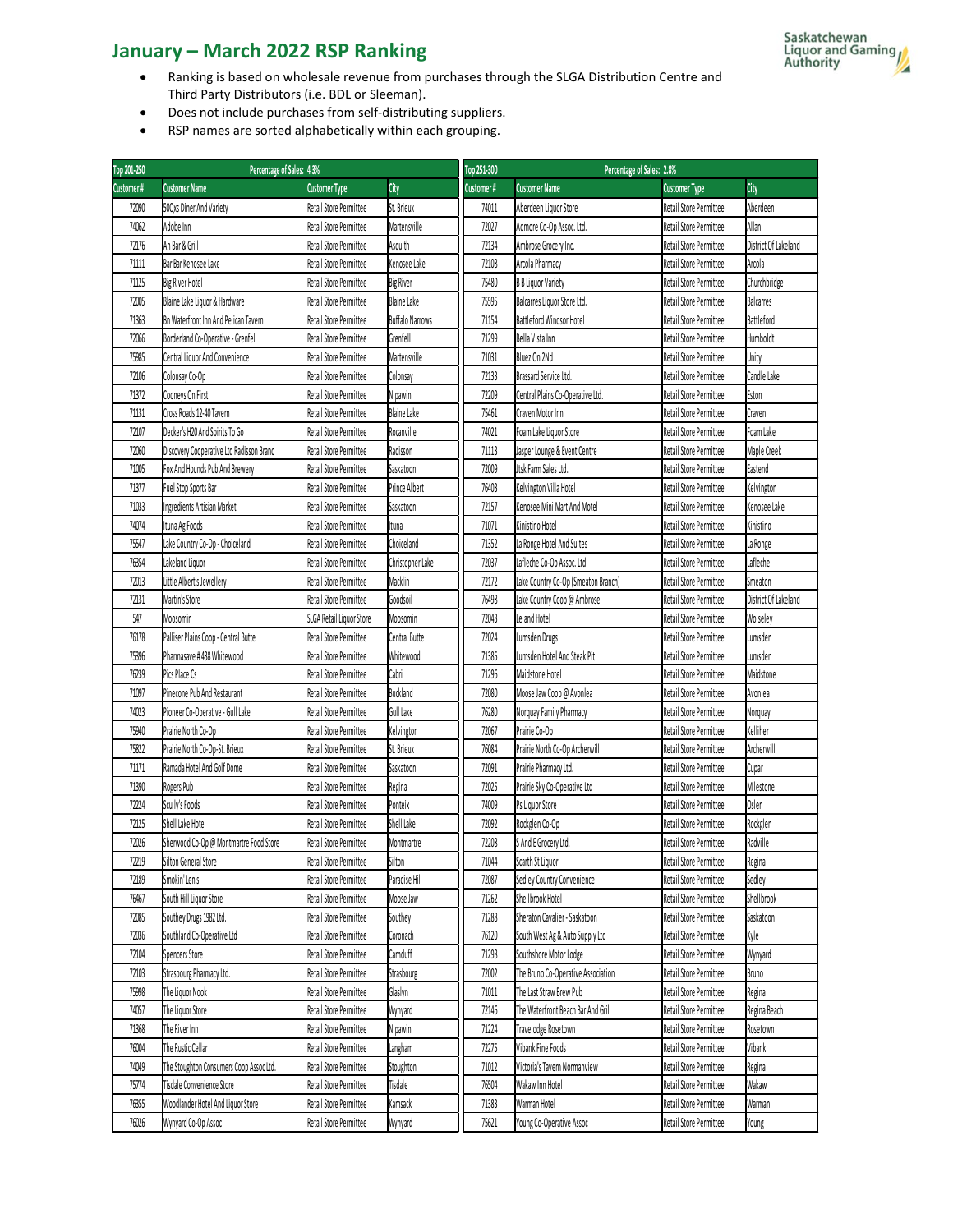- Ranking is based on wholesale revenue from purchases through the SLGA Distribution Centre and Third Party Distributors (i.e. BDL or Sleeman).
- Does not include purchases from self-distributing suppliers.
- RSP names are sorted alphabetically within each grouping.

| Top 201-250 | Percentage of Sales: 4.3%                |                          |                        |       | Top 251-300                         | Percentage of Sales: 2.8%   |
|-------------|------------------------------------------|--------------------------|------------------------|-------|-------------------------------------|-----------------------------|
| Customer#   | <b>Customer Name</b>                     | <b>Customer Type</b>     | City                   |       | Customer#                           | <b>Customer Name</b>        |
| 72090       | 50Qxs Diner And Variety                  | Retail Store Permittee   | St. Brieux             |       | 74011                               | Aberdeen Liquor Store       |
| 74062       | Adobe Inn                                | Retail Store Permittee   | Martensville           |       | 72027                               | Admore Co-Op Assoc. Ltd.    |
| 72176       | Ah Bar & Grill                           | Retail Store Permittee   | Asquith                |       | 72134                               | Ambrose Grocery Inc.        |
| 71111       | Bar Bar Kenosee Lake                     | Retail Store Permittee   | Kenosee Lake           |       | 72108                               | Arcola Pharmacy             |
| 71125       | <b>Big River Hotel</b>                   | Retail Store Permittee   | <b>Big River</b>       |       | 75480                               | <b>B B Liquor Variety</b>   |
| 72005       | Blaine Lake Liquor & Hardware            | Retail Store Permittee   | <b>Blaine Lake</b>     |       | 75595                               | Balcarres Liquor Store Ltd. |
| 71363       | Bn Waterfront Inn And Pelican Tavern     | Retail Store Permittee   | <b>Buffalo Narrows</b> |       | 71154                               | Battleford Windsor Hotel    |
| 72066       | Borderland Co-Operative - Grenfell       | Retail Store Permittee   | Grenfell               |       | 71299                               | Bella Vista Inn             |
| 75985       | Central Liquor And Convenience           | Retail Store Permittee   | Martensville           | 71031 |                                     | Bluez On 2Nd                |
| 72106       | Colonsay Co-Op                           | Retail Store Permittee   | Colonsay               | 72133 |                                     | Brassard Service Ltd.       |
| 71372       | Cooneys On First                         | Retail Store Permittee   | Nipawin                | 72209 | Central Plains Co-Operative Ltd.    |                             |
| 71131       | Cross Roads 12-40 Tavern                 | Retail Store Permittee   | Blaine Lake            | 75461 | Craven Motor Inn                    |                             |
| 72107       | Decker's H20 And Spirits To Go           | Retail Store Permittee   | Rocanville             | 74021 | Foam Lake Liguor Store              |                             |
|             |                                          |                          |                        |       | Jasper Lounge & Event Centre        |                             |
| 72060       | Discovery Cooperative Ltd Radisson Branc | Retail Store Permittee   | Radisson               | 71113 |                                     |                             |
| 71005       | Fox And Hounds Pub And Brewerv           | Retail Store Permittee   | Saskatoon              | 72009 | Jtsk Farm Sales Ltd.                |                             |
| 71377       | Fuel Stop Sports Bar                     | Retail Store Permittee   | Prince Albert          | 76403 | Kelvington Villa Hotel              |                             |
| 71033       | Ingredients Artisian Market              | Retail Store Permittee   | Saskatoon              | 72157 | Kenosee Mini Mart And Motel         |                             |
| 74074       | Ituna Ag Foods                           | Retail Store Permittee   | Ituna                  | 71071 | Kinistino Hotel                     |                             |
| 75547       | Lake Country Co-Op - Choiceland          | Retail Store Permittee   | Choiceland             | 71352 | La Ronge Hotel And Suites           |                             |
| 76354       | Lakeland Liquor                          | Retail Store Permittee   | Christopher Lake       | 72037 | Lafleche Co-Op Assoc. Ltd           |                             |
| 72013       | Little Albert's Jewellerv                | Retail Store Permittee   | Macklin                | 72172 | Lake Country Co-Op (Smeaton Branch) |                             |
| 72131       | Martin's Store                           | Retail Store Permittee   | Goodsoil               | 76498 | Lake Country Coop @ Ambrose         |                             |
| 547         | Moosomin                                 | SLGA Retail Liguor Store | Moosomin               | 72043 | Leland Hotel                        |                             |
| 76178       | Palliser Plains Coop - Central Butte     | Retail Store Permittee   | Central Butte          | 72024 | Lumsden Drugs                       |                             |
| 75396       | Pharmasave #438 Whitewood                | Retail Store Permittee   | Whitewood              | 71385 | Lumsden Hotel And Steak Pit         |                             |
| 76239       | Pics Place Cs                            | Retail Store Permittee   | Cabri                  | 71296 | Maidstone Hotel                     |                             |
| 71097       | Pinecone Pub And Restaurant              | Retail Store Permittee   | Buckland               | 72080 | Moose Jaw Coop @ Avonlea            |                             |
| 74023       | Pioneer Co-Operative - Gull Lake         | Retail Store Permittee   | Gull Lake              | 76280 | Norquay Family Pharmacy             |                             |
| 75940       | Prairie North Co-Op                      | Retail Store Permittee   | Kelvington             | 72067 | Prairie Co-Op                       |                             |
| 75822       | Prairie North Co-Op-St. Brieux           | Retail Store Permittee   | St. Brieux             | 76084 | Prairie North Co-Op Archerwill      |                             |
| 71171       | Ramada Hotel And Golf Dome               | Retail Store Permittee   | Saskatoon              | 72091 | Prairie Pharmacy Ltd.               |                             |
| 71390       | Rogers Pub                               | Retail Store Permittee   | Regina                 | 72025 | Prairie Sky Co-Operative Ltd        |                             |
| 72224       | Scully's Foods                           | Retail Store Permittee   | Ponteix                | 74009 | Ps Liquor Store                     |                             |
| 72125       | Shell Lake Hotel                         | Retail Store Permittee   | Shell Lake             | 72092 | Rockglen Co-Op                      |                             |
| 72026       | Sherwood Co-Op @ Montmartre Food Store   | Retail Store Permittee   | Montmartre             | 72208 | S And E Grocery Ltd.                |                             |
| 72219       | Silton General Store                     | Retail Store Permittee   | Silton                 | 71044 | Scarth St Liquor                    |                             |
| 72189       | Smokin' Len's                            | Retail Store Permittee   | Paradise Hill          | 72087 | Sedley Country Convenience          |                             |
| 76467       | South Hill Liquor Store                  | Retail Store Permittee   | Moose Jaw              | 71262 | Shellbrook Hotel                    |                             |
| 72085       | Southey Drugs 1982 Ltd.                  | Retail Store Permittee   | Southey                | 71288 | Sheraton Cavalier - Saskatoon       |                             |
|             |                                          |                          |                        |       |                                     |                             |
| 72036       | Southland Co-Operative Ltd               | Retail Store Permittee   | Coronach               | 76120 | South West Ag & Auto Supply Ltd     |                             |
| 72104       | Spencers Store                           | Retail Store Permittee   | Carnduff               | 71298 | Southshore Motor Lodge              |                             |
| 72103       | Strasbourg Pharmacy Ltd.                 | Retail Store Permittee   | Strasbourg             | 72002 | The Bruno Co-Operative Association  |                             |
| 75998       | The Liguor Nook                          | Retail Store Permittee   | Glaslyn                | 71011 | The Last Straw Brew Pub             |                             |
| 74057       | The Liquor Store                         | Retail Store Permittee   | Wynyard                | 72146 | The Waterfront Beach Bar And Grill  |                             |
| 71368       | The River Inn                            | Retail Store Permittee   | Nipawin                | 71224 | Travelodge Rosetown                 |                             |
| 76004       | The Rustic Cellar                        | Retail Store Permittee   | Langham                | 72275 | Vibank Fine Foods                   |                             |
| 74049       | The Stoughton Consumers Coop Assoc Ltd.  | Retail Store Permittee   | Stoughton              | 71012 | Victoria's Tavern Normanview        |                             |
| 75774       | Tisdale Convenience Store                | Retail Store Permittee   | Tisdale                | 76504 | Wakaw Inn Hotel                     |                             |
| 76355       | Woodlander Hotel And Liguor Store        | Retail Store Permittee   | Kamsack                | 71383 | Warman Hotel                        |                             |
| 76026       | Wynyard Co-Op Assoc                      | Retail Store Permittee   | Wynyard                | 75621 | Young Co-Operative Assoc            |                             |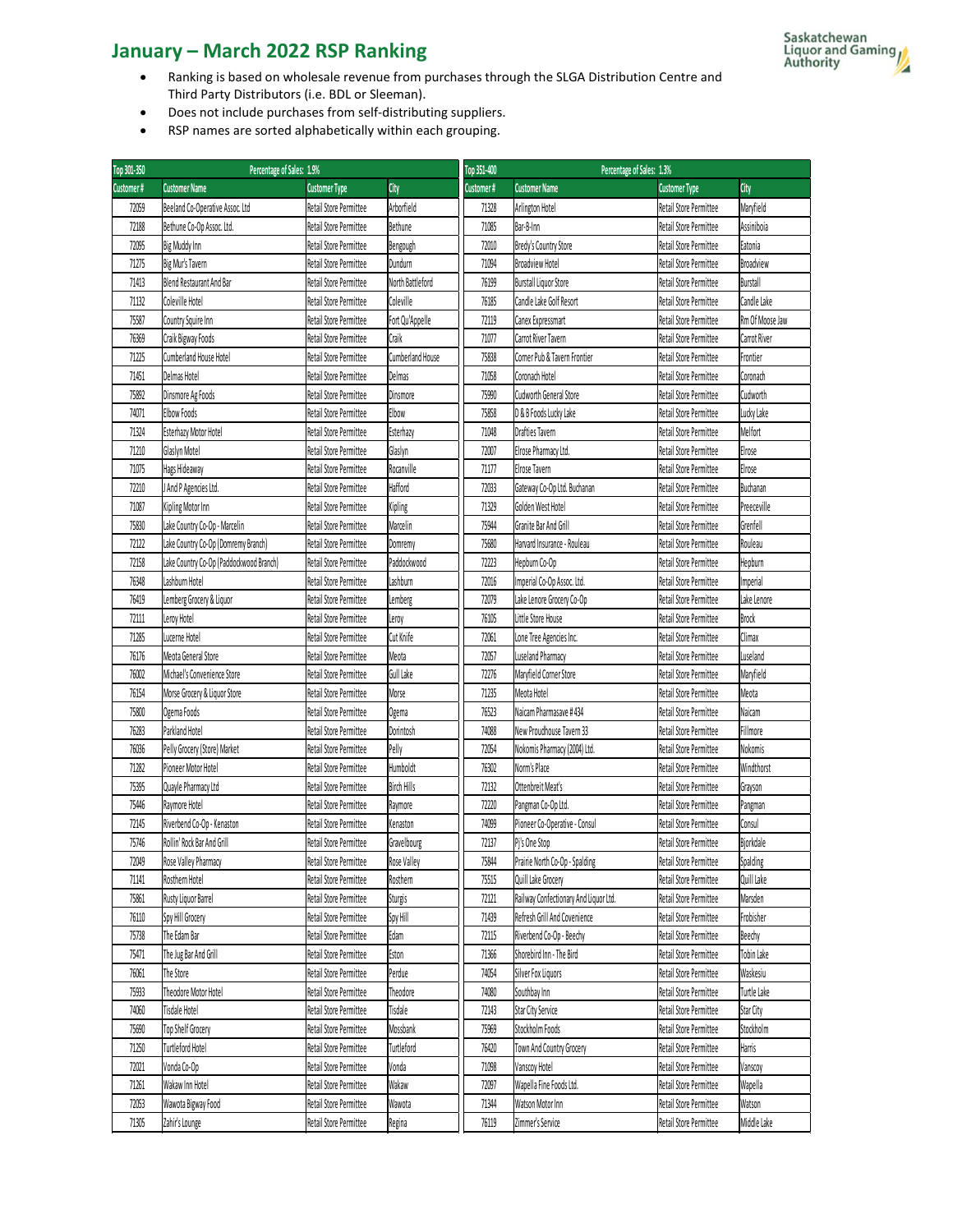- Ranking is based on wholesale revenue from purchases through the SLGA Distribution Centre and Third Party Distributors (i.e. BDL or Sleeman).
- Does not include purchases from self-distributing suppliers.
- RSP names are sorted alphabetically within each grouping.

| Top 301-350 | Percentage of Sales: 1.9%               |                        |                    | Top 351-400 | Percentage of Sales: 1.3%             |                        |                 |
|-------------|-----------------------------------------|------------------------|--------------------|-------------|---------------------------------------|------------------------|-----------------|
| Customer#   | <b>Customer Name</b>                    | <b>Customer Type</b>   | City               | Customer#   | <b>Customer Name</b>                  | <b>Customer Type</b>   | City            |
| 72059       | Beeland Co-Operative Assoc. Ltd         | Retail Store Permittee | Arborfield         | 71328       | Arlington Hotel                       | Retail Store Permittee | Maryfield       |
| 72188       | Bethune Co-Op Assoc. Ltd.               | Retail Store Permittee | Bethune            | 71085       | Bar-B-Inn                             | Retail Store Permittee | Assiniboia      |
| 72095       | Big Muddy Inn                           | Retail Store Permittee | Bengough           | 72010       | Bredy's Country Store                 | Retail Store Permittee | Eatonia         |
| 71275       | Big Mur's Tavern                        | Retail Store Permittee | Dundurn            | 71094       | <b>Broadview Hotel</b>                | Retail Store Permittee | Broadview       |
| 71413       | Blend Restaurant And Bar                | Retail Store Permittee | North Battleford   | 76199       | <b>Burstall Liquor Store</b>          | Retail Store Permittee | <b>Burstall</b> |
| 71132       | Coleville Hotel                         | Retail Store Permittee | Coleville          | 76185       | Candle Lake Golf Resort               | Retail Store Permittee | Candle Lake     |
| 75587       | Country Squire Inn                      | Retail Store Permittee | Fort Qu'Appelle    | 72119       | Canex Expressmart                     | Retail Store Permittee | Rm Of Moose Jaw |
| 76369       | Craik Bigway Foods                      | Retail Store Permittee | Craik              | 71077       | Carrot River Tavern                   | Retail Store Permittee | Carrot River    |
| 71225       | Cumberland House Hotel                  | Retail Store Permittee | Cumberland House   | 75838       | Corner Pub & Tavern Frontier          | Retail Store Permittee | Frontier        |
| 71451       | Delmas Hotel                            | Retail Store Permittee | Delmas             | 71058       | Coronach Hotel                        | Retail Store Permittee | Coronach        |
| 75892       | Dinsmore Ag Foods                       | Retail Store Permittee | Dinsmore           | 75990       | Cudworth General Store                | Retail Store Permittee | Cudworth        |
| 74071       | Elbow Foods                             | Retail Store Permittee | Elbow              | 75858       | D & B Foods Lucky Lake                | Retail Store Permittee | Lucky Lake      |
| 71324       | Esterhazy Motor Hotel                   | Retail Store Permittee | Esterhazy          | 71048       | <b>Drafties Tavern</b>                | Retail Store Permittee | Melfort         |
| 71210       | Glaslyn Motel                           | Retail Store Permittee | Glaslyn            | 72007       | Elrose Pharmacy Ltd.                  | Retail Store Permittee | Elrose          |
| 71075       | Hags Hideaway                           | Retail Store Permittee | Rocanville         | 71177       | Elrose Tavern                         | Retail Store Permittee | Elrose          |
| 72210       | J And P Agencies Ltd.                   | Retail Store Permittee | Hafford            | 72033       | Gateway Co-Op Ltd. Buchanan           | Retail Store Permittee | Buchanan        |
| 71087       | Kipling Motor Inn                       | Retail Store Permittee | Kipling            | 71329       | Golden West Hotel                     | Retail Store Permittee | Preeceville     |
| 75830       | Lake Country Co-Op - Marcelin           | Retail Store Permittee | Marcelin           | 75944       | Granite Bar And Grill                 | Retail Store Permittee | Grenfell        |
| 72122       | Lake Country Co-Op (Domremy Branch)     | Retail Store Permittee | Domremy            | 75680       | Harvard Insurance - Rouleau           | Retail Store Permittee | Rouleau         |
| 72158       | Lake Country Co-Op (Paddockwood Branch) | Retail Store Permittee | Paddockwood        | 72223       | Hepburn Co-Op                         | Retail Store Permittee | Hepburn         |
| 76348       | Lashburn Hotel                          | Retail Store Permittee | Lashburn           | 72016       | Imperial Co-Op Assoc. Ltd.            | Retail Store Permittee | Imperial        |
| 76419       | Lemberg Grocery & Liquor                | Retail Store Permittee | Lemberg            | 72079       | Lake Lenore Grocery Co-Op             | Retail Store Permittee | Lake Lenore     |
| 72111       | Leroy Hotel                             | Retail Store Permittee | Leroy              | 76105       | Little Store House                    | Retail Store Permittee | Brock           |
| 71285       | Lucerne Hotel                           | Retail Store Permittee | Cut Knife          | 72061       | Lone Tree Agencies Inc.               | Retail Store Permittee | Climax          |
| 76176       | Meota General Store                     | Retail Store Permittee | Meota              | 72057       | Luseland Pharmacy                     | Retail Store Permittee | Luseland        |
| 76002       | Michael's Convenience Store             | Retail Store Permittee | Gull Lake          | 72276       | Maryfield Corner Store                | Retail Store Permittee | Maryfield       |
| 76154       | Morse Grocery & Liquor Store            | Retail Store Permittee | Morse              | 71235       | Meota Hotel                           | Retail Store Permittee | Meota           |
| 75800       | Ogema Foods                             | Retail Store Permittee | Ogema              | 76523       | Naicam Pharmasave #434                | Retail Store Permittee | Naicam          |
| 76283       | Parkland Hotel                          | Retail Store Permittee | Dorintosh          | 74088       | New Proudhouse Tavern 33              | Retail Store Permittee | Fillmore        |
| 76036       | Pelly Grocery (Store) Market            | Retail Store Permittee | Pelly              | 72054       | Nokomis Pharmacy (2004) Ltd.          | Retail Store Permittee | Nokomis         |
| 71282       | Pioneer Motor Hotel                     | Retail Store Permittee | Humboldt           | 76302       | Norm's Place                          | Retail Store Permittee | Windthorst      |
| 75395       | Quayle Pharmacy Ltd                     | Retail Store Permittee | <b>Birch Hills</b> | 72132       | Ottenbreit Meat's                     | Retail Store Permittee | Grayson         |
| 75446       | Raymore Hotel                           | Retail Store Permittee | Raymore            | 72220       | Pangman Co-Op Ltd.                    | Retail Store Permittee | Pangman         |
| 72145       | Riverbend Co-Op - Kenaston              | Retail Store Permittee | Kenaston           | 74099       | Pioneer Co-Operative - Consul         | Retail Store Permittee | Consul          |
| 75746       | Rollin' Rock Bar And Grill              | Retail Store Permittee | Gravelbourg        | 72137       | Pi's One Stop                         | Retail Store Permittee | Bjorkdale       |
| 72049       | Rose Valley Pharmacy                    | Retail Store Permittee | Rose Valley        | 75844       | Prairie North Co-Op - Spalding        | Retail Store Permittee | Spalding        |
| 71141       | Rosthern Hotel                          | Retail Store Permittee | Rosthern           | 75515       | Quill Lake Grocery                    | Retail Store Permittee | Quill Lake      |
| 75861       | Rusty Liquor Barrel                     | Retail Store Permittee | Sturgis            | 72121       | Railway Confectionary And Liquor Ltd. | Retail Store Permittee | Marsden         |
| 76110       | Spy Hill Grocery                        | Retail Store Permittee | Spy Hill           | 71439       | Refresh Grill And Covenience          | Retail Store Permittee | Frobisher       |
| 75738       | The Edam Bar                            | Retail Store Permittee | Edam               | 72115       | Riverbend Co-Op - Beechy              | Retail Store Permittee | Beechy          |
| 75471       | The Jug Bar And Grill                   | Retail Store Permittee | Eston              | 71366       | Shorebird Inn - The Bird              | Retail Store Permittee | Tobin Lake      |
| 76061       | The Store                               | Retail Store Permittee | Perdue             | 74054       | Silver Fox Liquors                    | Retail Store Permittee | Waskesiu        |
| 75933       | Theodore Motor Hotel                    | Retail Store Permittee | Theodore           | 74080       | Southbay Inn                          | Retail Store Permittee | Turtle Lake     |
| 74060       | Tisdale Hotel                           | Retail Store Permittee | Tisdale            | 72143       | Star City Service                     | Retail Store Permittee | Star City       |
| 75690       | Top Shelf Grocery                       | Retail Store Permittee | Mossbank           | 75969       | Stockholm Foods                       | Retail Store Permittee | Stockholm       |
| 71250       | <b>Turtleford Hotel</b>                 | Retail Store Permittee | Turtleford         | 76420       | Town And Country Grocery              | Retail Store Permittee | Harris          |
| 72021       | Vonda Co-Op                             | Retail Store Permittee | Vonda              | 71098       | Vanscoy Hotel                         | Retail Store Permittee | Vanscoy         |
| 71261       | Wakaw Inn Hotel                         | Retail Store Permittee | Wakaw              | 72097       | Wapella Fine Foods Ltd.               | Retail Store Permittee | Wapella         |
| 72053       | Wawota Bigway Food                      | Retail Store Permittee | Wawota             | 71344       | Watson Motor Inn                      | Retail Store Permittee | Watson          |
| 71305       | Zahir's Lounge                          | Retail Store Permittee | Regina             | 76119       | Zimmer's Service                      | Retail Store Permittee | Middle Lake     |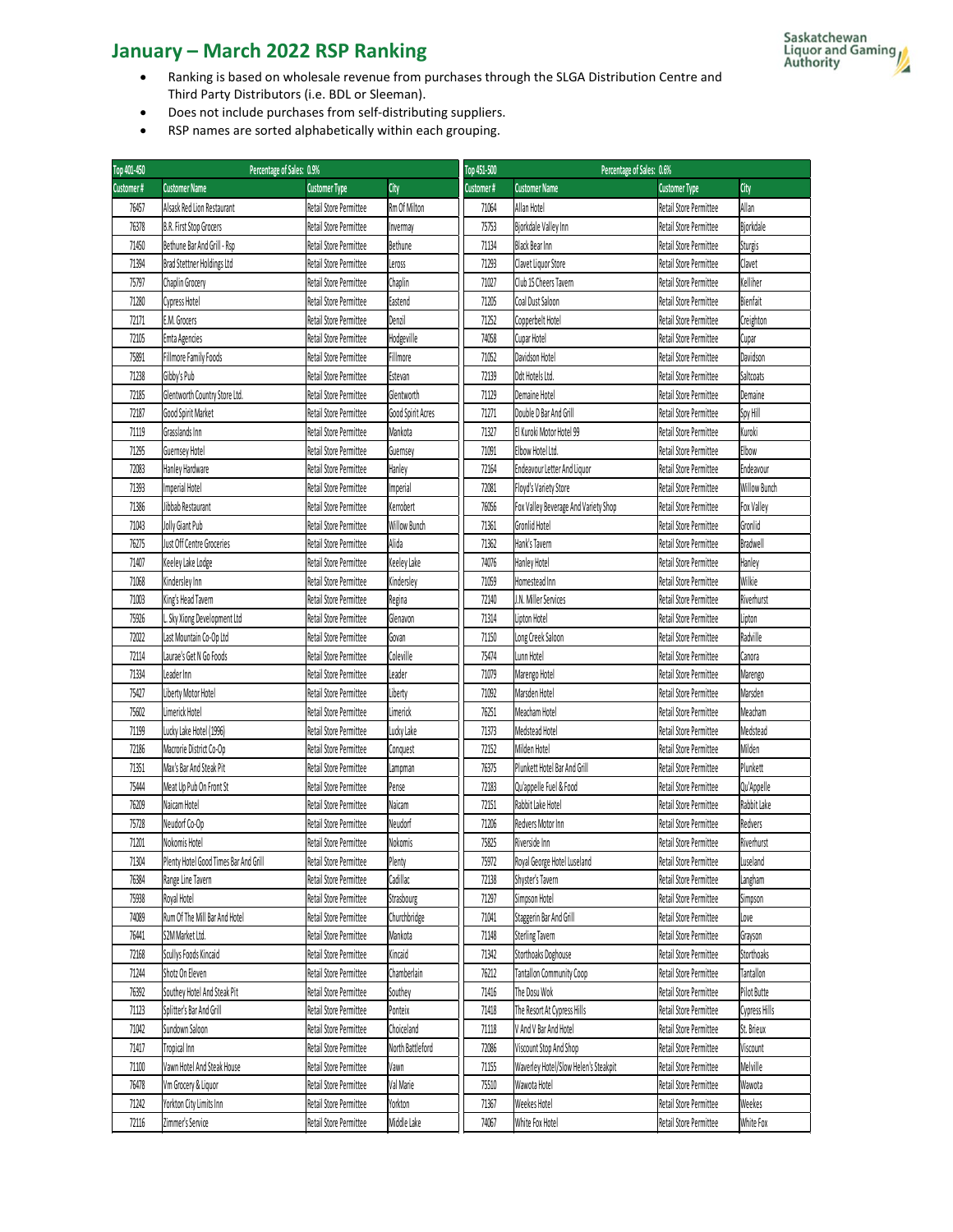- Ranking is based on wholesale revenue from purchases through the SLGA Distribution Centre and Third Party Distributors (i.e. BDL or Sleeman).
- Does not include purchases from self-distributing suppliers.
- RSP names are sorted alphabetically within each grouping.

| Top 401-450 | Percentage of Sales: 0.9%             |                        |                   | Top 451-500 | Percentage of Sales: 0.6%            |                        |                 |
|-------------|---------------------------------------|------------------------|-------------------|-------------|--------------------------------------|------------------------|-----------------|
| Customer#   | <b>Customer Name</b>                  | <b>Customer Type</b>   | City              | Customer#   | <b>Customer Name</b>                 | <b>Customer Type</b>   | City            |
| 76457       | Alsask Red Lion Restaurant            | Retail Store Permittee | Rm Of Milton      | 71064       | Allan Hotel                          | Retail Store Permittee | Allan           |
| 76378       | B.R. First Stop Grocers               | Retail Store Permittee | Invermay          | 75753       | Bjorkdale Valley Inn                 | Retail Store Permittee | Bjorkdale       |
| 71450       | Bethune Bar And Grill - Rsp           | Retail Store Permittee | Bethune           | 71134       | <b>Black Bear Inn</b>                | Retail Store Permittee | Sturgis         |
| 71394       | Brad Stettner Holdings Ltd            | Retail Store Permittee | Leross            | 71293       | Clavet Liquor Store                  | Retail Store Permittee | Clavet          |
| 75797       | Chaplin Grocery                       | Retail Store Permittee | Chaplin           | 71027       | Club 15 Cheers Tavern                | Retail Store Permittee | Kelliher        |
| 71280       | Cypress Hotel                         | Retail Store Permittee | Eastend           | 71205       | Coal Dust Saloon                     | Retail Store Permittee | Bienfait        |
| 72171       | E.M. Grocers                          | Retail Store Permittee | Denzil            | 71252       | Copperbelt Hotel                     | Retail Store Permittee | Creighton       |
| 72105       | Emta Agencies                         | Retail Store Permittee | Hodgeville        | 74058       | Cupar Hotel                          | Retail Store Permittee | Cupar           |
| 75891       | Fillmore Family Foods                 | Retail Store Permittee | Fillmore          | 71052       | Davidson Hotel                       | Retail Store Permittee | Davidson        |
| 71238       | Gibby's Pub                           | Retail Store Permittee | Estevan           | 72139       | Ddt Hotels Ltd.                      | Retail Store Permittee | Saltcoats       |
| 72185       | Glentworth Country Store Ltd.         | Retail Store Permittee | Glentworth        | 71129       | Demaine Hotel                        | Retail Store Permittee | Demaine         |
| 72187       | Good Spirit Market                    | Retail Store Permittee | Good Spirit Acres | 71271       | Double D Bar And Grill               | Retail Store Permittee | Spy Hill        |
| 71119       | Grasslands Inn                        | Retail Store Permittee | Mankota           | 71327       | El Kuroki Motor Hotel 99             | Retail Store Permittee | Kuroki          |
| 71295       | Guernsey Hotel                        | Retail Store Permittee | Guernsey          | 71091       | Elbow Hotel Ltd.                     | Retail Store Permittee | Elbow           |
| 72083       | Hanley Hardware                       | Retail Store Permittee | Hanley            | 72164       | Endeavour Letter And Liquor          | Retail Store Permittee | Endeavour       |
| 71393       | Imperial Hotel                        | Retail Store Permittee | Imperial          | 72081       | Floyd's Variety Store                | Retail Store Permittee | Willow Bunch    |
| 71386       | Jibbab Restaurant                     | Retail Store Permittee | Kerrobert         | 76056       | Fox Valley Beverage And Variety Shop | Retail Store Permittee | Fox Valley      |
| 71043       | Jolly Giant Pub                       | Retail Store Permittee | Willow Bunch      | 71361       | Gronlid Hotel                        | Retail Store Permittee | Gronlid         |
| 76275       | Just Off Centre Groceries             | Retail Store Permittee | Alida             | 71362       | Hank's Tavern                        | Retail Store Permittee | <b>Bradwell</b> |
| 71407       | Keeley Lake Lodge                     | Retail Store Permittee | Keeley Lake       | 74076       | Hanley Hotel                         | Retail Store Permittee | Hanley          |
| 71068       | Kindersley Inn                        | Retail Store Permittee | Kindersley        | 71059       | Homestead Inn                        | Retail Store Permittee | Wilkie          |
| 71003       | King's Head Tavern                    | Retail Store Permittee | Regina            | 72140       | J.N. Miller Services                 | Retail Store Permittee | Riverhurst      |
| 75926       | L. Sky Xiong Development Ltd          | Retail Store Permittee | Glenavon          | 71314       | Lipton Hotel                         | Retail Store Permittee | Lipton          |
| 72022       | Last Mountain Co-Op Ltd               | Retail Store Permittee | Govan             | 71150       | Long Creek Saloon                    | Retail Store Permittee | Radville        |
| 72114       | Laurae's Get N Go Foods               | Retail Store Permittee | Coleville         | 75474       | Lunn Hotel                           | Retail Store Permittee | Canora          |
| 71334       | Leader Inn                            | Retail Store Permittee | Leader            | 71079       | Marengo Hotel                        | Retail Store Permittee | Marengo         |
| 75427       | Liberty Motor Hotel                   | Retail Store Permittee | Liberty           | 71092       | Marsden Hotel                        | Retail Store Permittee | Marsden         |
| 75602       | Limerick Hotel                        | Retail Store Permittee | Limerick          | 76251       | Meacham Hotel                        | Retail Store Permittee | Meacham         |
| 71199       | Lucky Lake Hotel (1996)               | Retail Store Permittee | Lucky Lake        | 71373       | Medstead Hotel                       | Retail Store Permittee | Medstead        |
| 72186       | Macrorie District Co-Op               | Retail Store Permittee | Conquest          | 72152       | Milden Hotel                         | Retail Store Permittee | Milden          |
| 71351       | Max's Bar And Steak Pit               | Retail Store Permittee | Lampman           | 76375       | Plunkett Hotel Bar And Grill         | Retail Store Permittee | Plunkett        |
| 75444       | Meat Up Pub On Front St               | Retail Store Permittee | Pense             | 72183       | Qu'appelle Fuel & Food               | Retail Store Permittee | Qu'Appelle      |
| 76209       | Naicam Hotel                          | Retail Store Permittee | Naicam            | 72151       | Rabbit Lake Hotel                    | Retail Store Permittee | Rabbit Lake     |
| 75728       | Neudorf Co-Op                         | Retail Store Permittee | Neudorf           | 71206       | Redvers Motor Inn                    | Retail Store Permittee | Redvers         |
| 71201       | Nokomis Hotel                         | Retail Store Permittee | Nokomis           | 75825       | Riverside Inn                        | Retail Store Permittee | Riverhurst      |
| 71304       | Plenty Hotel Good Times Bar And Grill | Retail Store Permittee | Plenty            | 75972       | Royal George Hotel Luseland          | Retail Store Permittee | Luseland        |
| 76384       | Range Line Tavern                     | Retail Store Permittee | Cadillac          | 72138       | Shyster's Tavern                     | Retail Store Permittee | Langham         |
| 75938       | Royal Hotel                           | Retail Store Permittee | Strasbourg        | 71297       | Simpson Hotel                        | Retail Store Permittee | Simpson         |
| 74089       | Rum Of The Mill Bar And Hotel         | Retail Store Permittee | Churchbridge      | 71041       | Staggerin Bar And Grill              | Retail Store Permittee | Love            |
| 76441       | S2M Market Ltd.                       | Retail Store Permittee | Mankota           | 71148       | <b>Sterling Tavern</b>               | Retail Store Permittee | Grayson         |
| 72168       | Scullys Foods Kincaid                 | Retail Store Permittee | Kincaid           | 71342       | Storthoaks Doghouse                  | Retail Store Permittee | Storthoaks      |
| 71244       | Shotz On Eleven                       | Retail Store Permittee | Chamberlain       | 76212       | <b>Tantallon Community Coop</b>      | Retail Store Permittee | Tantallon       |
| 76392       | Southey Hotel And Steak Pit           | Retail Store Permittee | Southey           | 71416       | The Dosu Wok                         | Retail Store Permittee | Pilot Butte     |
| 71123       | Splitter's Bar And Grill              | Retail Store Permittee | Ponteix           | 71418       | The Resort At Cypress Hills          | Retail Store Permittee | Cypress Hills   |
| 71042       | Sundown Saloon                        | Retail Store Permittee | Choiceland        | 71118       | V And V Bar And Hotel                | Retail Store Permittee | St. Brieux      |
| 71417       | Tropical Inn                          | Retail Store Permittee | North Battleford  | 72086       | Viscount Stop And Shop               | Retail Store Permittee | Viscount        |
| 71100       | Vawn Hotel And Steak House            | Retail Store Permittee | Vawn              | 71155       | Waverley Hotel/Slow Helen's Steakpit | Retail Store Permittee | Melville        |
| 76478       | Vm Grocery & Liquor                   | Retail Store Permittee | Val Marie         | 75510       | Wawota Hotel                         | Retail Store Permittee | Wawota          |
| 71242       | Yorkton City Limits Inn               | Retail Store Permittee | Yorkton           | 71367       | Weekes Hotel                         | Retail Store Permittee | Weekes          |
| 72116       | Zimmer's Service                      | Retail Store Permittee | Middle Lake       | 74067       | White Fox Hotel                      | Retail Store Permittee | White Fox       |